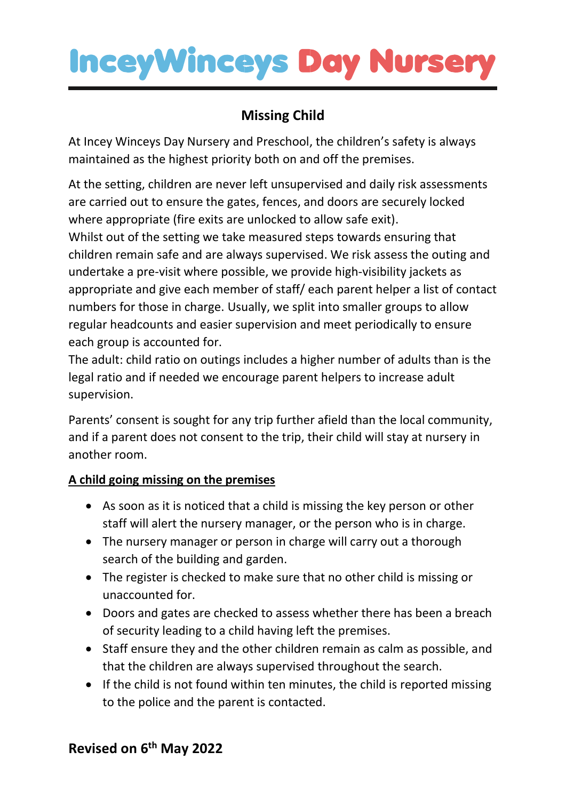## **InceyWinceys Day Nurser**

## **Missing Child**

At Incey Winceys Day Nursery and Preschool, the children's safety is always maintained as the highest priority both on and off the premises.

At the setting, children are never left unsupervised and daily risk assessments are carried out to ensure the gates, fences, and doors are securely locked where appropriate (fire exits are unlocked to allow safe exit).

Whilst out of the setting we take measured steps towards ensuring that children remain safe and are always supervised. We risk assess the outing and undertake a pre-visit where possible, we provide high-visibility jackets as appropriate and give each member of staff/ each parent helper a list of contact numbers for those in charge. Usually, we split into smaller groups to allow regular headcounts and easier supervision and meet periodically to ensure each group is accounted for.

The adult: child ratio on outings includes a higher number of adults than is the legal ratio and if needed we encourage parent helpers to increase adult supervision.

Parents' consent is sought for any trip further afield than the local community, and if a parent does not consent to the trip, their child will stay at nursery in another room.

### **A child going missing on the premises**

- As soon as it is noticed that a child is missing the key person or other staff will alert the nursery manager, or the person who is in charge.
- The nursery manager or person in charge will carry out a thorough search of the building and garden.
- The register is checked to make sure that no other child is missing or unaccounted for.
- Doors and gates are checked to assess whether there has been a breach of security leading to a child having left the premises.
- Staff ensure they and the other children remain as calm as possible, and that the children are always supervised throughout the search.
- If the child is not found within ten minutes, the child is reported missing to the police and the parent is contacted.

### **Revised on 6 th May 2022**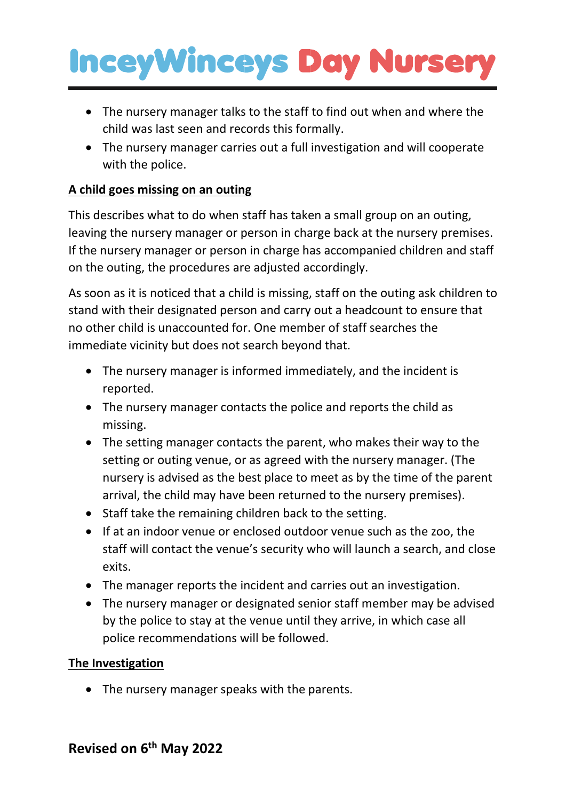# **InceyWinceys Day Nurser**

- The nursery manager talks to the staff to find out when and where the child was last seen and records this formally.
- The nursery manager carries out a full investigation and will cooperate with the police.

#### **A child goes missing on an outing**

This describes what to do when staff has taken a small group on an outing, leaving the nursery manager or person in charge back at the nursery premises. If the nursery manager or person in charge has accompanied children and staff on the outing, the procedures are adjusted accordingly.

As soon as it is noticed that a child is missing, staff on the outing ask children to stand with their designated person and carry out a headcount to ensure that no other child is unaccounted for. One member of staff searches the immediate vicinity but does not search beyond that.

- The nursery manager is informed immediately, and the incident is reported.
- The nursery manager contacts the police and reports the child as missing.
- The setting manager contacts the parent, who makes their way to the setting or outing venue, or as agreed with the nursery manager. (The nursery is advised as the best place to meet as by the time of the parent arrival, the child may have been returned to the nursery premises).
- Staff take the remaining children back to the setting.
- If at an indoor venue or enclosed outdoor venue such as the zoo, the staff will contact the venue's security who will launch a search, and close exits.
- The manager reports the incident and carries out an investigation.
- The nursery manager or designated senior staff member may be advised by the police to stay at the venue until they arrive, in which case all police recommendations will be followed.

#### **The Investigation**

• The nursery manager speaks with the parents.